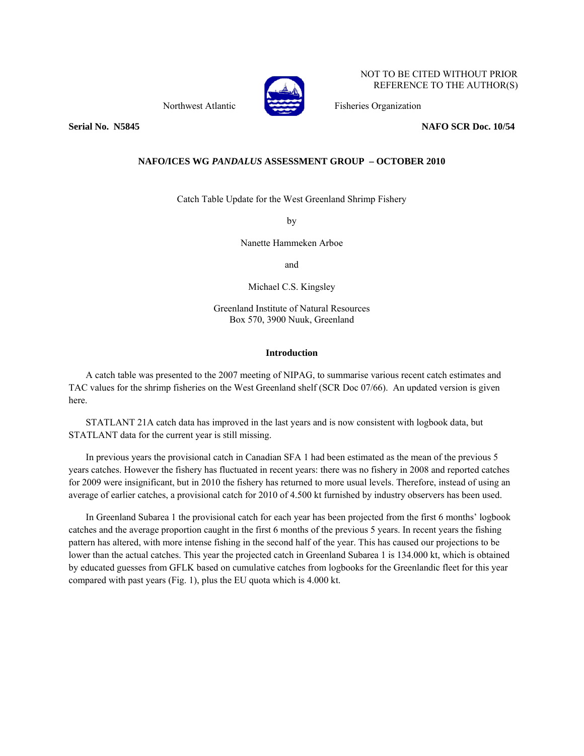

NOT TO BE CITED WITHOUT PRIOR REFERENCE TO THE AUTHOR(S)

Northwest Atlantic Fisheries Organization

**Serial No. 35845** NAFO SCR Doc. 10/54

## **NAFO/ICES WG** *PANDALUS* **ASSESSMENT GROUP – OCTOBER 2010**

Catch Table Update for the West Greenland Shrimp Fishery

by

Nanette Hammeken Arboe

and

Michael C.S. Kingsley

Greenland Institute of Natural Resources Box 570, 3900 Nuuk, Greenland

## **Introduction**

A catch table was presented to the 2007 meeting of NIPAG, to summarise various recent catch estimates and TAC values for the shrimp fisheries on the West Greenland shelf (SCR Doc 07/66). An updated version is given here.

STATLANT 21A catch data has improved in the last years and is now consistent with logbook data, but STATLANT data for the current year is still missing.

In previous years the provisional catch in Canadian SFA 1 had been estimated as the mean of the previous 5 years catches. However the fishery has fluctuated in recent years: there was no fishery in 2008 and reported catches for 2009 were insignificant, but in 2010 the fishery has returned to more usual levels. Therefore, instead of using an average of earlier catches, a provisional catch for 2010 of 4.500 kt furnished by industry observers has been used.

In Greenland Subarea 1 the provisional catch for each year has been projected from the first 6 months' logbook catches and the average proportion caught in the first 6 months of the previous 5 years. In recent years the fishing pattern has altered, with more intense fishing in the second half of the year. This has caused our projections to be lower than the actual catches. This year the projected catch in Greenland Subarea 1 is 134.000 kt, which is obtained by educated guesses from GFLK based on cumulative catches from logbooks for the Greenlandic fleet for this year compared with past years (Fig. 1), plus the EU quota which is 4.000 kt.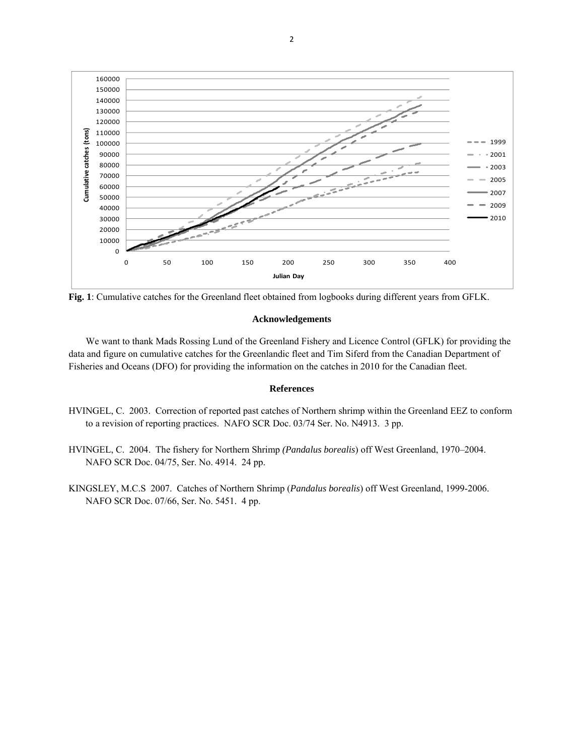

**Fig. 1**: Cumulative catches for the Greenland fleet obtained from logbooks during different years from GFLK.

## **Acknowledgements**

We want to thank Mads Rossing Lund of the Greenland Fishery and Licence Control (GFLK) for providing the data and figure on cumulative catches for the Greenlandic fleet and Tim Siferd from the Canadian Department of Fisheries and Oceans (DFO) for providing the information on the catches in 2010 for the Canadian fleet.

## **References**

- HVINGEL, C. 2003. Correction of reported past catches of Northern shrimp within the Greenland EEZ to conform to a revision of reporting practices. NAFO SCR Doc. 03/74 Ser. No. N4913. 3 pp.
- HVINGEL, C. 2004. The fishery for Northern Shrimp *(Pandalus borealis*) off West Greenland, 1970–2004. NAFO SCR Doc. 04/75, Ser. No. 4914. 24 pp.
- KINGSLEY, M.C.S 2007. Catches of Northern Shrimp (*Pandalus borealis*) off West Greenland, 1999-2006. NAFO SCR Doc. 07/66, Ser. No. 5451. 4 pp.